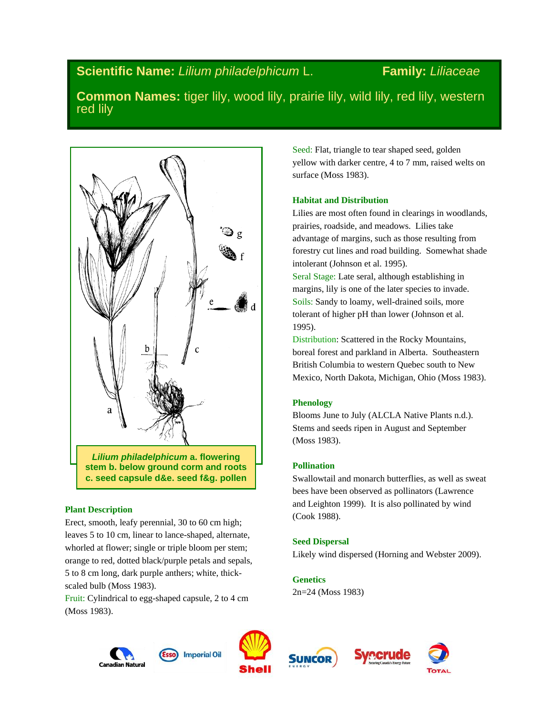# **Scientific Name:** *Lilium philadelphicum* L. **Family:** *Liliaceae*

**Common Names:** tiger lily, wood lily, prairie lily, wild lily, red lily, western red lily



# **Plant Description**

Erect, smooth, leafy perennial, 30 to 60 cm high; leaves 5 to 10 cm, linear to lance-shaped, alternate, whorled at flower; single or triple bloom per stem; orange to red, dotted black/purple petals and sepals, 5 to 8 cm long, dark purple anthers; white, thickscaled bulb (Moss 1983).

Fruit: Cylindrical to egg-shaped capsule, 2 to 4 cm (Moss 1983).

Seed: Flat, triangle to tear shaped seed, golden yellow with darker centre, 4 to 7 mm, raised welts on surface (Moss 1983).

# **Habitat and Distribution**

Lilies are most often found in clearings in woodlands, prairies, roadside, and meadows. Lilies take advantage of margins, such as those resulting from forestry cut lines and road building. Somewhat shade intolerant (Johnson et al. 1995).

Seral Stage: Late seral, although establishing in margins, lily is one of the later species to invade. Soils: Sandy to loamy, well-drained soils, more tolerant of higher pH than lower (Johnson et al. 1995).

Distribution: Scattered in the Rocky Mountains, boreal forest and parkland in Alberta. Southeastern British Columbia to western Quebec south to New Mexico, North Dakota, Michigan, Ohio (Moss 1983).

# **Phenology**

Blooms June to July (ALCLA Native Plants n.d.). Stems and seeds ripen in August and September (Moss 1983).

# **Pollination**

Swallowtail and monarch butterflies, as well as sweat bees have been observed as pollinators (Lawrence and Leighton 1999). It is also pollinated by wind (Cook 1988).

# **Seed Dispersal**

Likely wind dispersed (Horning and Webster 2009).

**Genetics** 2n=24 (Moss 1983)







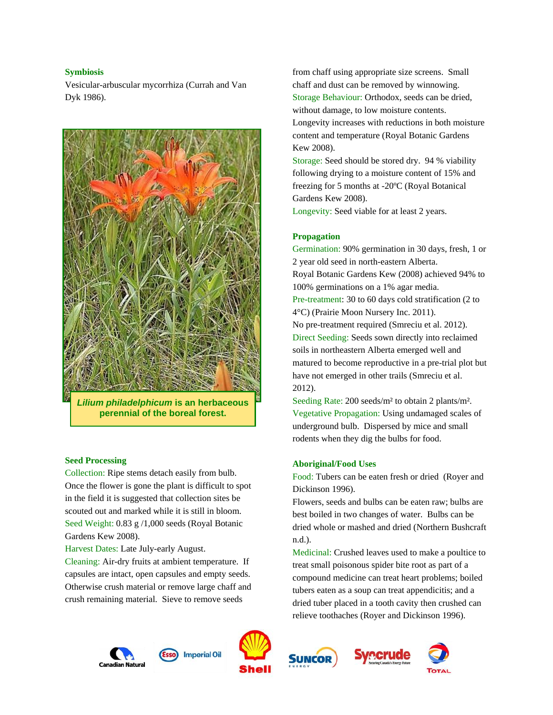## **Symbiosis**

Vesicular-arbuscular mycorrhiza (Currah and Van Dyk 1986).



*Lilium philadelphicum* **is an herbaceous perennial of the boreal forest.**

## **Seed Processing**

Collection: Ripe stems detach easily from bulb. Once the flower is gone the plant is difficult to spot in the field it is suggested that collection sites be scouted out and marked while it is still in bloom. Seed Weight: 0.83 g /1,000 seeds (Royal Botanic Gardens Kew 2008).

Harvest Dates: Late July-early August.

Cleaning: Air-dry fruits at ambient temperature. If capsules are intact, open capsules and empty seeds. Otherwise crush material or remove large chaff and crush remaining material. Sieve to remove seeds

from chaff using appropriate size screens. Small chaff and dust can be removed by winnowing. Storage Behaviour: Orthodox, seeds can be dried, without damage, to low moisture contents. Longevity increases with reductions in both moisture content and temperature (Royal Botanic Gardens Kew 2008).

Storage: Seed should be stored dry. 94 % viability following drying to a moisture content of 15% and freezing for 5 months at -20ºC (Royal Botanical Gardens Kew 2008).

Longevity: Seed viable for at least 2 years.

#### **Propagation**

Germination: 90% germination in 30 days, fresh, 1 or 2 year old seed in north-eastern Alberta. Royal Botanic Gardens Kew (2008) achieved 94% to 100% germinations on a 1% agar media. Pre-treatment: 30 to 60 days cold stratification (2 to 4°C) (Prairie Moon Nursery Inc. 2011). No pre-treatment required (Smreciu et al. 2012). Direct Seeding: Seeds sown directly into reclaimed soils in northeastern Alberta emerged well and matured to become reproductive in a pre-trial plot but have not emerged in other trails (Smreciu et al. 2012).

Seeding Rate: 200 seeds/m² to obtain 2 plants/m². Vegetative Propagation: Using undamaged scales of underground bulb. Dispersed by mice and small rodents when they dig the bulbs for food.

#### **Aboriginal/Food Uses**

Food: Tubers can be eaten fresh or dried (Royer and Dickinson 1996).

Flowers, seeds and bulbs can be eaten raw; bulbs are best boiled in two changes of water. Bulbs can be dried whole or mashed and dried (Northern Bushcraft n.d.).

Medicinal: Crushed leaves used to make a poultice to treat small poisonous spider bite root as part of a compound medicine can treat heart problems; boiled tubers eaten as a soup can treat appendicitis; and a dried tuber placed in a tooth cavity then crushed can relieve toothaches (Royer and Dickinson 1996).







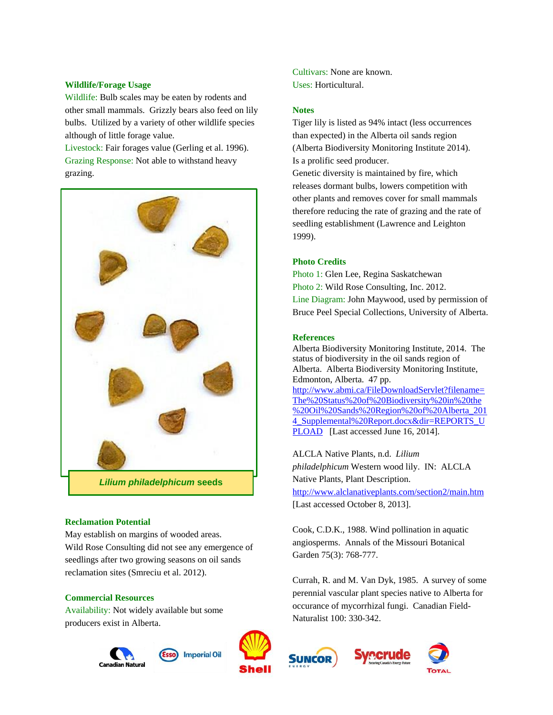## **Wildlife/Forage Usage**

Wildlife: Bulb scales may be eaten by rodents and other small mammals. Grizzly bears also feed on lily bulbs. Utilized by a variety of other wildlife species although of little forage value.

Livestock: Fair forages value (Gerling et al. 1996). Grazing Response: Not able to withstand heavy grazing.



#### **Reclamation Potential**

May establish on margins of wooded areas. Wild Rose Consulting did not see any emergence of seedlings after two growing seasons on oil sands reclamation sites (Smreciu et al. 2012).

#### **Commercial Resources**

Availability: Not widely available but some producers exist in Alberta.





Cultivars: None are known. Uses: Horticultural.

## **Notes**

Tiger lily is listed as 94% intact (less occurrences than expected) in the Alberta oil sands region (Alberta Biodiversity Monitoring Institute 2014). Is a prolific seed producer.

Genetic diversity is maintained by fire, which releases dormant bulbs, lowers competition with other plants and removes cover for small mammals therefore reducing the rate of grazing and the rate of seedling establishment (Lawrence and Leighton 1999).

## **Photo Credits**

Photo 1: Glen Lee, Regina Saskatchewan Photo 2: Wild Rose Consulting, Inc. 2012. Line Diagram: John Maywood, used by permission of Bruce Peel Special Collections, University of Alberta.

## **References**

Alberta Biodiversity Monitoring Institute, 2014. The status of biodiversity in the oil sands region of Alberta. Alberta Biodiversity Monitoring Institute, Edmonton, Alberta. 47 pp. [http://www.abmi.ca/FileDownloadServlet?filename=](http://www.abmi.ca/FileDownloadServlet?filename=The%20Status%20of%20Biodiversity%20in%20the%20Oil%20Sands%20Region%20of%20Alberta_2014_Supplemental%20Report.docx&dir=REPORTS_UPLOAD) [The%20Status%20of%20Biodiversity%20in%20the](http://www.abmi.ca/FileDownloadServlet?filename=The%20Status%20of%20Biodiversity%20in%20the%20Oil%20Sands%20Region%20of%20Alberta_2014_Supplemental%20Report.docx&dir=REPORTS_UPLOAD) [%20Oil%20Sands%20Region%20of%20Alberta\\_201](http://www.abmi.ca/FileDownloadServlet?filename=The%20Status%20of%20Biodiversity%20in%20the%20Oil%20Sands%20Region%20of%20Alberta_2014_Supplemental%20Report.docx&dir=REPORTS_UPLOAD) 4 Supplemental%20Report.docx&dir=REPORTS\_U [PLOAD](http://www.abmi.ca/FileDownloadServlet?filename=The%20Status%20of%20Biodiversity%20in%20the%20Oil%20Sands%20Region%20of%20Alberta_2014_Supplemental%20Report.docx&dir=REPORTS_UPLOAD) [Last accessed June 16, 2014].

ALCLA Native Plants, n.d. *Lilium philadelphicum* Western wood lily. IN: ALCLA Native Plants, Plant Description. <http://www.alclanativeplants.com/section2/main.htm> [Last accessed October 8, 2013].

Cook, C.D.K., 1988. Wind pollination in aquatic angiosperms. Annals of the Missouri Botanical Garden 75(3): 768-777.

Currah, R. and M. Van Dyk, 1985. A survey of some perennial vascular plant species native to Alberta for occurance of mycorrhizal fungi. Canadian Field-Naturalist 100: 330-342.